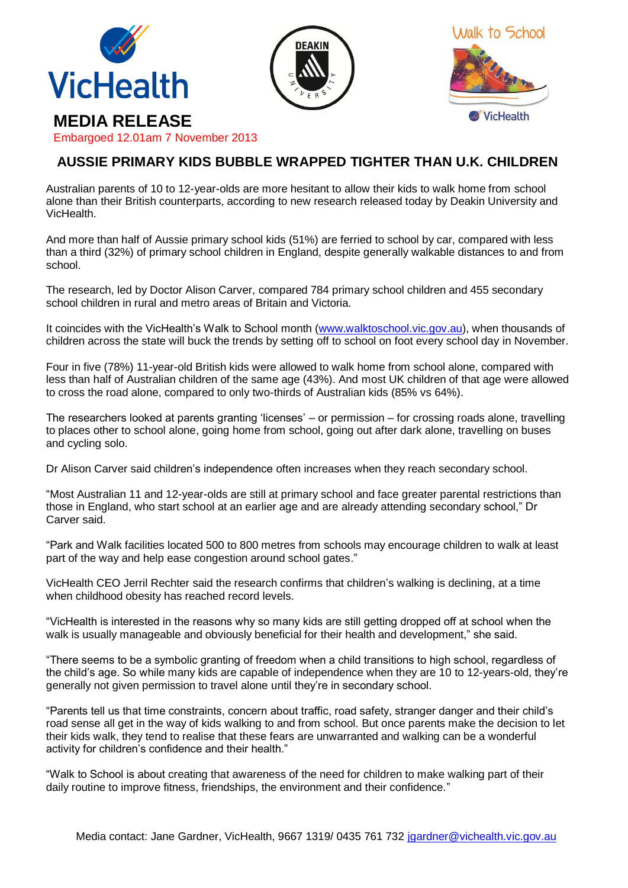





## **MEDIA RELEASE**

Embargoed 12.01am 7 November 2013

## **AUSSIE PRIMARY KIDS BUBBLE WRAPPED TIGHTER THAN U.K. CHILDREN**

Australian parents of 10 to 12-year-olds are more hesitant to allow their kids to walk home from school alone than their British counterparts, according to new research released today by Deakin University and VicHealth.

And more than half of Aussie primary school kids (51%) are ferried to school by car, compared with less than a third (32%) of primary school children in England, despite generally walkable distances to and from school.

The research, led by Doctor Alison Carver, compared 784 primary school children and 455 secondary school children in rural and metro areas of Britain and Victoria.

It coincides with the VicHealth's Walk to School month [\(www.walktoschool.vic.gov.au\)](http://www.walktoschool.vic.gov.au/), when thousands of children across the state will buck the trends by setting off to school on foot every school day in November.

Four in five (78%) 11-year-old British kids were allowed to walk home from school alone, compared with less than half of Australian children of the same age (43%). And most UK children of that age were allowed to cross the road alone, compared to only two-thirds of Australian kids (85% vs 64%).

The researchers looked at parents granting 'licenses' – or permission – for crossing roads alone, travelling to places other to school alone, going home from school, going out after dark alone, travelling on buses and cycling solo.

Dr Alison Carver said children's independence often increases when they reach secondary school.

"Most Australian 11 and 12-year-olds are still at primary school and face greater parental restrictions than those in England, who start school at an earlier age and are already attending secondary school," Dr Carver said.

"Park and Walk facilities located 500 to 800 metres from schools may encourage children to walk at least part of the way and help ease congestion around school gates."

VicHealth CEO Jerril Rechter said the research confirms that children's walking is declining, at a time when childhood obesity has reached record levels.

"VicHealth is interested in the reasons why so many kids are still getting dropped off at school when the walk is usually manageable and obviously beneficial for their health and development," she said.

"There seems to be a symbolic granting of freedom when a child transitions to high school, regardless of the child's age. So while many kids are capable of independence when they are 10 to 12-years-old, they're generally not given permission to travel alone until they're in secondary school.

"Parents tell us that time constraints, concern about traffic, road safety, stranger danger and their child's road sense all get in the way of kids walking to and from school. But once parents make the decision to let their kids walk, they tend to realise that these fears are unwarranted and walking can be a wonderful activity for children's confidence and their health."

"Walk to School is about creating that awareness of the need for children to make walking part of their daily routine to improve fitness, friendships, the environment and their confidence."